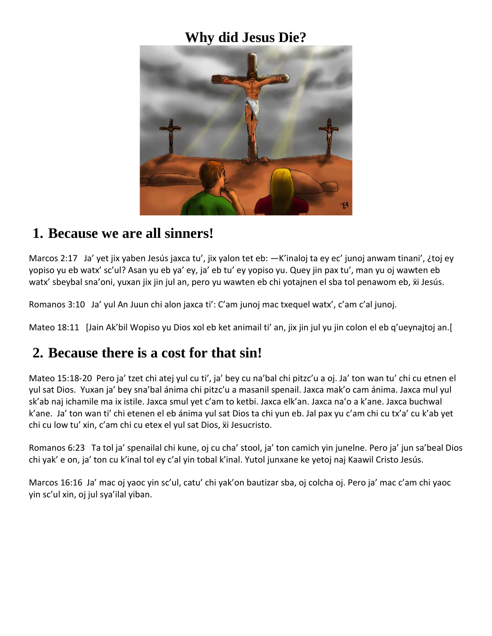## **Why did Jesus Die?**



### **1. Because we are all sinners!**

Marcos 2:17 Ja' yet jix yaben Jesús jaxca tu', jix yalon tet eb: —K'inaloj ta ey ec' junoj anwam tinani', ¿toj ey yopiso yu eb watx' sc'ul? Asan yu eb ya' ey, ja' eb tu' ey yopiso yu. Quey jin pax tu', man yu oj wawten eb watx' sbeybal sna'oni, yuxan jix jin jul an, pero yu wawten eb chi yotajnen el sba tol penawom eb,  $\ddot{\textbf{x}}$ i Jesús.

Romanos 3:10 Ja' yul An Juun chi alon jaxca ti': C'am junoj mac txequel watx', c'am c'al junoj.

Mateo 18:11 [Jain Ak'bil Wopiso yu Dios xol eb ket animail ti' an, jix jin jul yu jin colon el eb q'ueynajtoj an.[

### **2. Because there is a cost for that sin!**

Mateo 15:18-20 Pero ja' tzet chi atej yul cu ti', ja' bey cu na'bal chi pitzc'u a oj. Ja' ton wan tu' chi cu etnen el yul sat Dios. Yuxan ja' bey sna'bal ánima chi pitzc'u a masanil spenail. Jaxca mak'o cam ánima. Jaxca mul yul sk'ab naj ichamile ma ix istile. Jaxca smul yet c'am to ketbi. Jaxca elk'an. Jaxca na'o a k'ane. Jaxca buchwal k'ane. Ja' ton wan ti' chi etenen el eb ánima yul sat Dios ta chi yun eb. Jal pax yu c'am chi cu tx'a' cu k'ab yet chi cu low tu' xin, c'am chi cu etex el yul sat Dios, ẍi Jesucristo.

Romanos 6:23 Ta tol ja' spenailal chi kune, oj cu cha' stool, ja' ton camich yin junelne. Pero ja' jun sa'beal Dios chi yak' e on, ja' ton cu k'inal tol ey c'al yin tobal k'inal. Yutol junxane ke yetoj naj Kaawil Cristo Jesús.

Marcos 16:16 Ja' mac oj yaoc yin sc'ul, catu' chi yak'on bautizar sba, oj colcha oj. Pero ja' mac c'am chi yaoc yin sc'ul xin, oj jul sya'ilal yiban.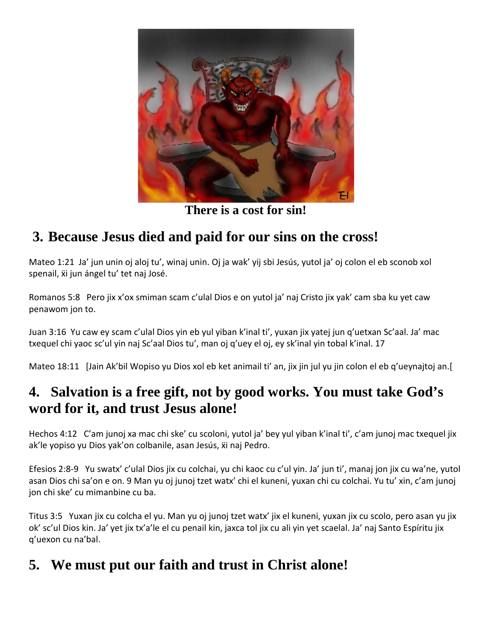

**There is a cost for sin!**

# **3. Because Jesus died and paid for our sins on the cross!**

Mateo 1:21 Ja' jun unin oj aloj tu', winaj unin. Oj ja wak' yij sbi Jesús, yutol ja' oj colon el eb sconob xol spenail, xi jun ángel tu' tet naj José.

Romanos 5:8 Pero jix x'ox smiman scam c'ulal Dios e on yutol ja' naj Cristo jix yak' cam sba ku yet caw penawom jon to.

Juan 3:16 Yu caw ey scam c'ulal Dios yin eb yul yiban k'inal ti', yuxan jix yatej jun q'uetxan Sc'aal. Ja' mac txequel chi yaoc sc'ul yin naj Sc'aal Dios tu', man oj q'uey el oj, ey sk'inal yin tobal k'inal. 17

Mateo 18:11 [Jain Ak'bil Wopiso yu Dios xol eb ket animail ti' an, jix jin jul yu jin colon el eb q'ueynajtoj an.[

## **4. Salvation is a free gift, not by good works. You must take God's word for it, and trust Jesus alone!**

Hechos 4:12 C'am junoj xa mac chi ske' cu scoloni, yutol ja' bey yul yiban k'inal ti', c'am junoj mac txequel jix ak'le yopiso yu Dios yak'on colbanile, asan Jesús,  $\ddot{x}$ i naj Pedro.

Efesios 2:8-9 Yu swatx' c'ulal Dios jix cu colchai, yu chi kaoc cu c'ul yin. Ja' jun ti', manaj jon jix cu wa'ne, yutol asan Dios chi sa'on e on. 9 Man yu oj junoj tzet watx' chi el kuneni, yuxan chi cu colchai. Yu tu' xin, c'am junoj jon chi ske' cu mimanbine cu ba.

Titus 3:5 Yuxan jix cu colcha el yu. Man yu oj junoj tzet watx' jix el kuneni, yuxan jix cu scolo, pero asan yu jix ok' sc'ul Dios kin. Ja' yet jix tx'a'le el cu penail kin, jaxca tol jix cu ali yin yet scaelal. Ja' naj Santo Espíritu jix q'uexon cu na'bal.

## **5. We must put our faith and trust in Christ alone!**